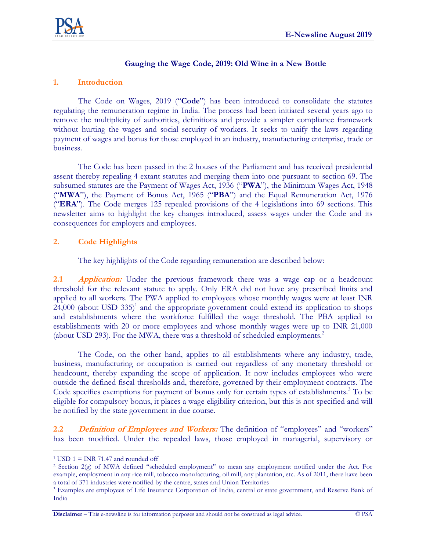

#### **Gauging the Wage Code, 2019: Old Wine in a New Bottle**

# **1. Introduction**

The Code on Wages, 2019 ("**Code**") has been introduced to consolidate the statutes regulating the remuneration regime in India. The process had been initiated several years ago to remove the multiplicity of authorities, definitions and provide a simpler compliance framework without hurting the wages and social security of workers. It seeks to unify the laws regarding payment of wages and bonus for those employed in an industry, manufacturing enterprise, trade or business.

The Code has been passed in the 2 houses of the Parliament and has received presidential assent thereby repealing 4 extant statutes and merging them into one pursuant to section 69. The subsumed statutes are the Payment of Wages Act, 1936 ("**PWA**"), the Minimum Wages Act, 1948 ("**MWA**"), the Payment of Bonus Act, 1965 ("**PBA**") and the Equal Remuneration Act, 1976 ("**ERA**"). The Code merges 125 repealed provisions of the 4 legislations into 69 sections. This newsletter aims to highlight the key changes introduced, assess wages under the Code and its consequences for employers and employees.

# **2. Code Highlights**

The key highlights of the Code regarding remuneration are described below:

**2.1 Application:** Under the previous framework there was a wage cap or a headcount threshold for the relevant statute to apply. Only ERA did not have any prescribed limits and applied to all workers. The PWA applied to employees whose monthly wages were at least INR  $24,000$  (about USD 335)<sup>1</sup> and the appropriate government could extend its application to shops and establishments where the workforce fulfilled the wage threshold. The PBA applied to establishments with 20 or more employees and whose monthly wages were up to INR 21,000 (about USD 293). For the MWA, there was a threshold of scheduled employments.<sup>2</sup>

The Code, on the other hand, applies to all establishments where any industry, trade, business, manufacturing or occupation is carried out regardless of any monetary threshold or headcount, thereby expanding the scope of application. It now includes employees who were outside the defined fiscal thresholds and, therefore, governed by their employment contracts. The Code specifies exemptions for payment of bonus only for certain types of establishments.<sup>3</sup> To be eligible for compulsory bonus, it places a wage eligibility criterion, but this is not specified and will be notified by the state government in due course.

**2.2 Definition of Employees and Workers:** The definition of "employees" and "workers" has been modified. Under the repealed laws, those employed in managerial, supervisory or

**Disclaimer** – This e-newsline is for information purposes and should not be construed as legal advice. © PSA

 $\overline{a}$ <sup>1</sup> USD 1 = INR 71.47 and rounded off

<sup>2</sup> Section 2(g) of MWA defined "scheduled employment" to mean any employment notified under the Act. For example, employment in any rice mill, tobacco manufacturing, oil mill, any plantation, etc. As of 2011, there have been a total of 371 industries were notified by the centre, states and Union Territories

<sup>3</sup> Examples are employees of Life Insurance Corporation of India, central or state government, and Reserve Bank of India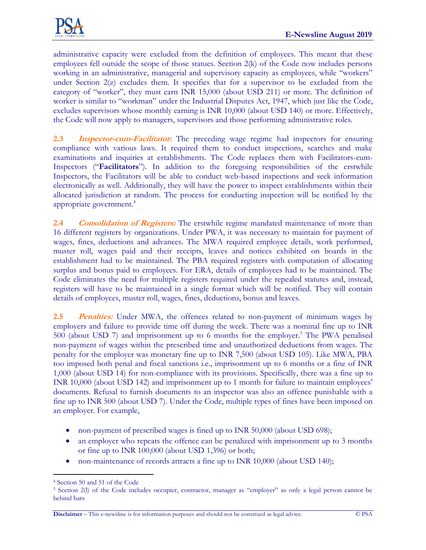

administrative capacity were excluded from the definition of employees. This meant that these employees fell outside the scope of those statues. Section 2(k) of the Code now includes persons working in an administrative, managerial and supervisory capacity as employees, while "workers" under Section 2(z) excludes them. It specifies that for a supervisor to be excluded from the category of "worker", they must earn INR 15,000 (about USD 211) or more. The definition of worker is similar to "workman" under the Industrial Disputes Act, 1947, which just like the Code, excludes supervisors whose monthly earning is INR 10,000 (about USD 140) or more. Effectively, the Code will now apply to managers, supervisors and those performing administrative roles.

**2.3 Inspector-cum-Facilitator:** The preceding wage regime had inspectors for ensuring compliance with various laws. It required them to conduct inspections, searches and make examinations and inquiries at establishments. The Code replaces them with Facilitators-cum-Inspectors ("**Facilitators**"). In addition to the foregoing responsibilities of the erstwhile Inspectors, the Facilitators will be able to conduct web-based inspections and seek information electronically as well. Additionally, they will have the power to inspect establishments within their allocated jurisdiction at random. The process for conducting inspection will be notified by the appropriate government.<sup>4</sup>

**2.4 Consolidation of Registers:** The erstwhile regime mandated maintenance of more than 16 different registers by organizations. Under PWA, it was necessary to maintain for payment of wages, fines, deductions and advances. The MWA required employee details, work performed, muster roll, wages paid and their receipts, leaves and notices exhibited on boards in the establishment had to be maintained. The PBA required registers with computation of allocating surplus and bonus paid to employees. For ERA, details of employees had to be maintained. The Code eliminates the need for multiple registers required under the repealed statutes and, instead, registers will have to be maintained in a single format which will be notified. They will contain details of employees, muster roll, wages, fines, deductions, bonus and leaves.

**2.5 Penalties:** Under MWA, the offences related to non-payment of minimum wages by employers and failure to provide time off during the week. There was a nominal fine up to INR 500 (about USD 7) and imprisonment up to 6 months for the employer.<sup>5</sup> The PWA penalised non-payment of wages within the prescribed time and unauthorized deductions from wages. The penalty for the employer was monetary fine up to INR 7,500 (about USD 105). Like MWA, PBA too imposed both penal and fiscal sanctions i.e., imprisonment up to 6 months or a fine of INR 1,000 (about USD 14) for non-compliance with its provisions. Specifically, there was a fine up to INR 10,000 (about USD 142) and imprisonment up to 1 month for failure to maintain employees' documents. Refusal to furnish documents to an inspector was also an offence punishable with a fine up to INR 500 (about USD 7). Under the Code, multiple types of fines have been imposed on an employer. For example,

- non-payment of prescribed wages is fined up to INR 50,000 (about USD 698);
- an employer who repeats the offence can be penalized with imprisonment up to 3 months or fine up to INR 100,000 (about USD 1,396) or both;
- non-maintenance of records attracts a fine up to INR 10,000 (about USD 140);

 $\overline{a}$ <sup>4</sup> Section 50 and 51 of the Code

<sup>5</sup> Section 2(l) of the Code includes occupier, contractor, manager as "employer" as only a legal person cannot be behind bars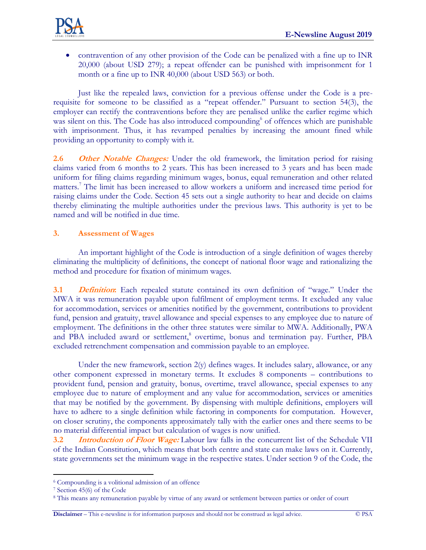

 contravention of any other provision of the Code can be penalized with a fine up to INR 20,000 (about USD 279); a repeat offender can be punished with imprisonment for 1 month or a fine up to INR 40,000 (about USD 563) or both.

Just like the repealed laws, conviction for a previous offense under the Code is a prerequisite for someone to be classified as a "repeat offender." Pursuant to section 54(3), the employer can rectify the contraventions before they are penalised unlike the earlier regime which was silent on this. The Code has also introduced compounding<sup>6</sup> of offences which are punishable with imprisonment. Thus, it has revamped penalties by increasing the amount fined while providing an opportunity to comply with it.

**2.6 Other Notable Changes:** Under the old framework, the limitation period for raising claims varied from 6 months to 2 years. This has been increased to 3 years and has been made uniform for filing claims regarding minimum wages, bonus, equal remuneration and other related matters.<sup>7</sup> The limit has been increased to allow workers a uniform and increased time period for raising claims under the Code. Section 45 sets out a single authority to hear and decide on claims thereby eliminating the multiple authorities under the previous laws. This authority is yet to be named and will be notified in due time.

# **3. Assessment of Wages**

An important highlight of the Code is introduction of a single definition of wages thereby eliminating the multiplicity of definitions, the concept of national floor wage and rationalizing the method and procedure for fixation of minimum wages.

**3.1 Definition:** Each repealed statute contained its own definition of "wage." Under the MWA it was remuneration payable upon fulfilment of employment terms. It excluded any value for accommodation, services or amenities notified by the government, contributions to provident fund, pension and gratuity, travel allowance and special expenses to any employee due to nature of employment. The definitions in the other three statutes were similar to MWA. Additionally, PWA and PBA included award or settlement,<sup>8</sup> overtime, bonus and termination pay. Further, PBA excluded retrenchment compensation and commission payable to an employee.

Under the new framework, section  $2(y)$  defines wages. It includes salary, allowance, or any other component expressed in monetary terms. It excludes 8 components – contributions to provident fund, pension and gratuity, bonus, overtime, travel allowance, special expenses to any employee due to nature of employment and any value for accommodation, services or amenities that may be notified by the government. By dispensing with multiple definitions, employers will have to adhere to a single definition while factoring in components for computation. However, on closer scrutiny, the components approximately tally with the earlier ones and there seems to be no material differential impact but calculation of wages is now unified.

**3.2 Introduction of Floor Wage:** Labour law falls in the concurrent list of the Schedule VII of the Indian Constitution, which means that both centre and state can make laws on it. Currently, state governments set the minimum wage in the respective states. Under section 9 of the Code, the

 $\overline{a}$ 

<sup>6</sup> Compounding is a volitional admission of an offence

<sup>7</sup> Section 45(6) of the Code

<sup>8</sup> This means any remuneration payable by virtue of any award or settlement between parties or order of court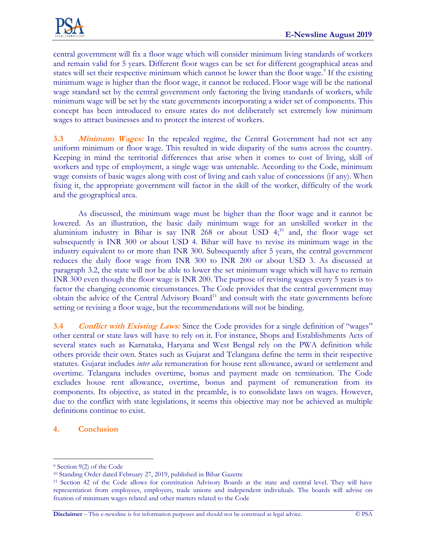

central government will fix a floor wage which will consider minimum living standards of workers and remain valid for 5 years. Different floor wages can be set for different geographical areas and states will set their respective minimum which cannot be lower than the floor wage.<sup>9</sup> If the existing minimum wage is higher than the floor wage, it cannot be reduced. Floor wage will be the national wage standard set by the central government only factoring the living standards of workers, while minimum wage will be set by the state governments incorporating a wider set of components. This concept has been introduced to ensure states do not deliberately set extremely low minimum wages to attract businesses and to protect the interest of workers.

**3.3 Minimum Wages:** In the repealed regime, the Central Government had not set any uniform minimum or floor wage. This resulted in wide disparity of the sums across the country. Keeping in mind the territorial differences that arise when it comes to cost of living, skill of workers and type of employment, a single wage was untenable. According to the Code, minimum wage consists of basic wages along with cost of living and cash value of concessions (if any). When fixing it, the appropriate government will factor in the skill of the worker, difficulty of the work and the geographical area.

As discussed, the minimum wage must be higher than the floor wage and it cannot be lowered. As an illustration, the basic daily minimum wage for an unskilled worker in the aluminium industry in Bihar is say INR 268 or about USD  $4;^{10}$  and, the floor wage set subsequently is INR 300 or about USD 4. Bihar will have to revise its minimum wage in the industry equivalent to or more than INR 300. Subsequently after 5 years, the central government reduces the daily floor wage from INR 300 to INR 200 or about USD 3. As discussed at paragraph 3.2, the state will not be able to lower the set minimum wage which will have to remain INR 300 even though the floor wage is INR 200. The purpose of revising wages every 5 years is to factor the changing economic circumstances. The Code provides that the central government may obtain the advice of the Central Advisory Board<sup>11</sup> and consult with the state governments before setting or revising a floor wage, but the recommendations will not be binding.

**3.4 Conflict with Existing Laws:** Since the Code provides for a single definition of "wages" other central or state laws will have to rely on it. For instance, Shops and Establishments Acts of several states such as Karnataka, Haryana and West Bengal rely on the PWA definition while others provide their own. States such as Gujarat and Telangana define the term in their respective statutes. Gujarat includes *inter alia* remuneration for house rent allowance, award or settlement and overtime. Telangana includes overtime, bonus and payment made on termination. The Code excludes house rent allowance, overtime, bonus and payment of remuneration from its components. Its objective, as stated in the preamble, is to consolidate laws on wages. However, due to the conflict with state legislations, it seems this objective may not be achieved as multiple definitions continue to exist.

#### **4. Conclusion**

 $\overline{a}$ 

<sup>9</sup> Section 9(2) of the Code

<sup>10</sup> Standing Order dated February 27, 2019, published in Bihar Gazette

<sup>11</sup> Section 42 of the Code allows for constitution Advisory Boards at the state and central level. They will have representation from employees, employers, trade unions and independent individuals. The boards will advise on fixation of minimum wages related and other matters related to the Code